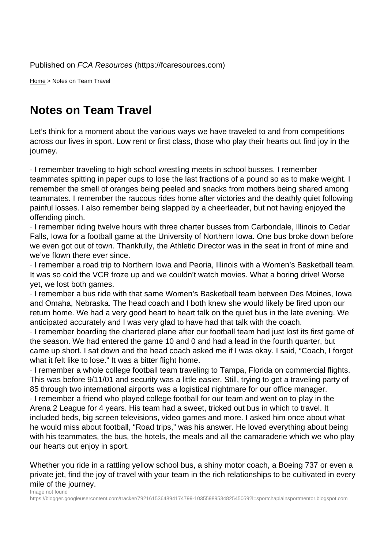Home > Notes on Team Travel

## [Not](https://fcaresources.com/)es on Team Travel

Let's think for a moment about the various ways we have traveled to and from competitions [across our lives in sport. Low rent o](https://fcaresources.com/article/notes-team-travel-0)r first class, those who play their hearts out find joy in the journey.

· I remember traveling to high school wrestling meets in school busses. I remember teammates spitting in paper cups to lose the last fractions of a pound so as to make weight. I remember the smell of oranges being peeled and snacks from mothers being shared among teammates. I remember the raucous rides home after victories and the deathly quiet following painful losses. I also remember being slapped by a cheerleader, but not having enjoyed the offending pinch.

· I remember riding twelve hours with three charter busses from Carbondale, Illinois to Cedar Falls, Iowa for a football game at the University of Northern Iowa. One bus broke down before we even got out of town. Thankfully, the Athletic Director was in the seat in front of mine and we've flown there ever since.

· I remember a road trip to Northern Iowa and Peoria, Illinois with a Women's Basketball team. It was so cold the VCR froze up and we couldn't watch movies. What a boring drive! Worse yet, we lost both games.

· I remember a bus ride with that same Women's Basketball team between Des Moines, Iowa and Omaha, Nebraska. The head coach and I both knew she would likely be fired upon our return home. We had a very good heart to heart talk on the quiet bus in the late evening. We anticipated accurately and I was very glad to have had that talk with the coach.

· I remember boarding the chartered plane after our football team had just lost its first game of the season. We had entered the game 10 and 0 and had a lead in the fourth quarter, but came up short. I sat down and the head coach asked me if I was okay. I said, "Coach, I forgot what it felt like to lose." It was a bitter flight home.

· I remember a whole college football team traveling to Tampa, Florida on commercial flights. This was before 9/11/01 and security was a little easier. Still, trying to get a traveling party of 85 through two international airports was a logistical nightmare for our office manager.

· I remember a friend who played college football for our team and went on to play in the Arena 2 League for 4 years. His team had a sweet, tricked out bus in which to travel. It included beds, big screen televisions, video games and more. I asked him once about what he would miss about football, "Road trips," was his answer. He loved everything about being with his teammates, the bus, the hotels, the meals and all the camaraderie which we who play our hearts out enjoy in sport.

Whether you ride in a rattling yellow school bus, a shiny motor coach, a Boeing 737 or even a private jet, find the joy of travel with your team in the rich relationships to be cultivated in every mile of the journey. Image not found

https://blogger.googleusercontent.com/tracker/7921615364894174799-1035598953482545059?l=sportchaplainsportmentor.blogspot.com